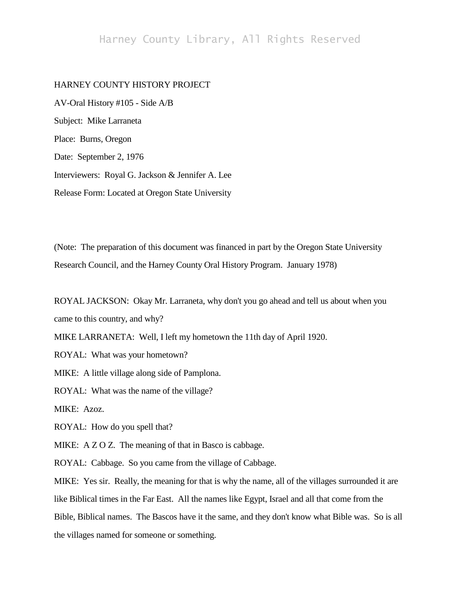# Harney County Library, All Rights Reserved

## HARNEY COUNTY HISTORY PROJECT

AV-Oral History #105 - Side A/B Subject: Mike Larraneta Place: Burns, Oregon Date: September 2, 1976 Interviewers: Royal G. Jackson & Jennifer A. Lee Release Form: Located at Oregon State University

(Note: The preparation of this document was financed in part by the Oregon State University Research Council, and the Harney County Oral History Program. January 1978)

ROYAL JACKSON: Okay Mr. Larraneta, why don't you go ahead and tell us about when you came to this country, and why?

MIKE LARRANETA: Well, I left my hometown the 11th day of April 1920.

ROYAL: What was your hometown?

MIKE: A little village along side of Pamplona.

ROYAL: What was the name of the village?

MIKE: Azoz.

ROYAL: How do you spell that?

MIKE: A Z O Z. The meaning of that in Basco is cabbage.

ROYAL: Cabbage. So you came from the village of Cabbage.

MIKE: Yes sir. Really, the meaning for that is why the name, all of the villages surrounded it are like Biblical times in the Far East. All the names like Egypt, Israel and all that come from the Bible, Biblical names. The Bascos have it the same, and they don't know what Bible was. So is all the villages named for someone or something.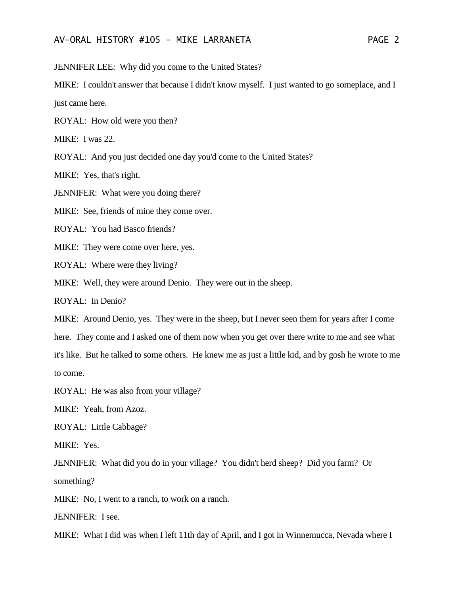JENNIFER LEE: Why did you come to the United States?

MIKE: I couldn't answer that because I didn't know myself. I just wanted to go someplace, and I just came here.

ROYAL: How old were you then?

MIKE: I was 22.

ROYAL: And you just decided one day you'd come to the United States?

MIKE: Yes, that's right.

JENNIFER: What were you doing there?

MIKE: See, friends of mine they come over.

ROYAL: You had Basco friends?

MIKE: They were come over here, yes.

ROYAL: Where were they living?

MIKE: Well, they were around Denio. They were out in the sheep.

ROYAL: In Denio?

MIKE: Around Denio, yes. They were in the sheep, but I never seen them for years after I come

here. They come and I asked one of them now when you get over there write to me and see what

it's like. But he talked to some others. He knew me as just a little kid, and by gosh he wrote to me to come.

ROYAL: He was also from your village?

MIKE: Yeah, from Azoz.

ROYAL: Little Cabbage?

MIKE: Yes.

JENNIFER: What did you do in your village? You didn't herd sheep? Did you farm? Or something?

MIKE: No, I went to a ranch, to work on a ranch.

JENNIFER: I see.

MIKE: What I did was when I left 11th day of April, and I got in Winnemucca, Nevada where I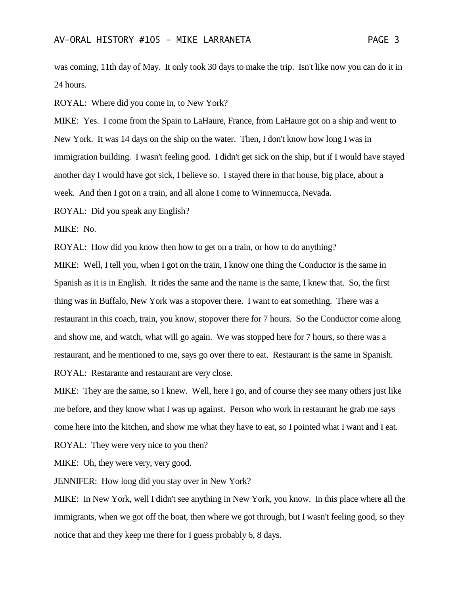was coming, 11th day of May. It only took 30 days to make the trip. Isn't like now you can do it in 24 hours.

ROYAL: Where did you come in, to New York?

MIKE: Yes. I come from the Spain to LaHaure, France, from LaHaure got on a ship and went to New York. It was 14 days on the ship on the water. Then, I don't know how long I was in immigration building. I wasn't feeling good. I didn't get sick on the ship, but if I would have stayed another day I would have got sick, I believe so. I stayed there in that house, big place, about a week. And then I got on a train, and all alone I come to Winnemucca, Nevada.

ROYAL: Did you speak any English?

MIKE: No.

ROYAL: How did you know then how to get on a train, or how to do anything?

MIKE: Well, I tell you, when I got on the train, I know one thing the Conductor is the same in Spanish as it is in English. It rides the same and the name is the same, I knew that. So, the first thing was in Buffalo, New York was a stopover there. I want to eat something. There was a restaurant in this coach, train, you know, stopover there for 7 hours. So the Conductor come along and show me, and watch, what will go again. We was stopped here for 7 hours, so there was a restaurant, and he mentioned to me, says go over there to eat. Restaurant is the same in Spanish. ROYAL: Restarante and restaurant are very close.

MIKE: They are the same, so I knew. Well, here I go, and of course they see many others just like me before, and they know what I was up against. Person who work in restaurant he grab me says come here into the kitchen, and show me what they have to eat, so I pointed what I want and I eat.

ROYAL: They were very nice to you then?

MIKE: Oh, they were very, very good.

JENNIFER: How long did you stay over in New York?

MIKE: In New York, well I didn't see anything in New York, you know. In this place where all the immigrants, when we got off the boat, then where we got through, but I wasn't feeling good, so they notice that and they keep me there for I guess probably 6, 8 days.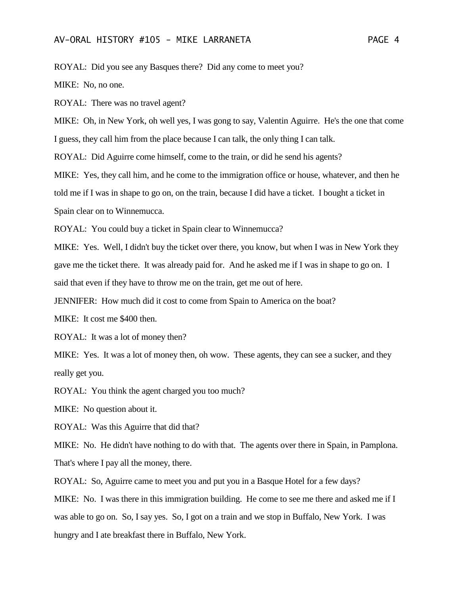#### AV-ORAL HISTORY #105 - MIKE LARRANETA PAGE 4

ROYAL: Did you see any Basques there? Did any come to meet you?

MIKE: No, no one.

ROYAL: There was no travel agent?

MIKE: Oh, in New York, oh well yes, I was gong to say, Valentin Aguirre. He's the one that come I guess, they call him from the place because I can talk, the only thing I can talk.

ROYAL: Did Aguirre come himself, come to the train, or did he send his agents?

MIKE: Yes, they call him, and he come to the immigration office or house, whatever, and then he told me if I was in shape to go on, on the train, because I did have a ticket. I bought a ticket in Spain clear on to Winnemucca.

ROYAL: You could buy a ticket in Spain clear to Winnemucca?

MIKE: Yes. Well, I didn't buy the ticket over there, you know, but when I was in New York they gave me the ticket there. It was already paid for. And he asked me if I was in shape to go on. I said that even if they have to throw me on the train, get me out of here.

JENNIFER: How much did it cost to come from Spain to America on the boat?

MIKE: It cost me \$400 then.

ROYAL: It was a lot of money then?

MIKE: Yes. It was a lot of money then, oh wow. These agents, they can see a sucker, and they really get you.

ROYAL: You think the agent charged you too much?

MIKE: No question about it.

ROYAL: Was this Aguirre that did that?

MIKE: No. He didn't have nothing to do with that. The agents over there in Spain, in Pamplona. That's where I pay all the money, there.

ROYAL: So, Aguirre came to meet you and put you in a Basque Hotel for a few days?

MIKE: No. I was there in this immigration building. He come to see me there and asked me if I was able to go on. So, I say yes. So, I got on a train and we stop in Buffalo, New York. I was hungry and I ate breakfast there in Buffalo, New York.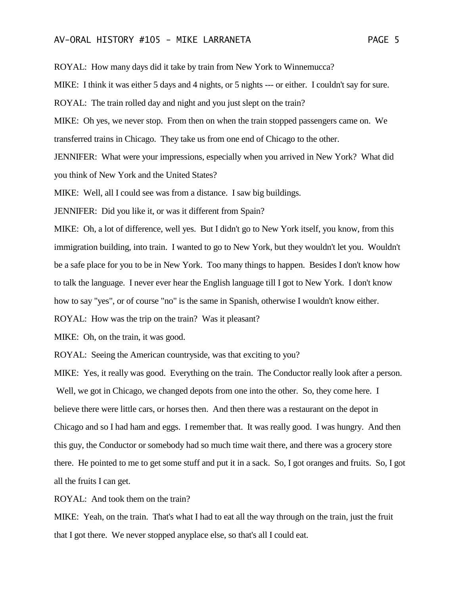### AV-ORAL HISTORY #105 - MIKE LARRANETA PAGE 5

ROYAL: How many days did it take by train from New York to Winnemucca?

MIKE: I think it was either 5 days and 4 nights, or 5 nights --- or either. I couldn't say for sure.

ROYAL: The train rolled day and night and you just slept on the train?

MIKE: Oh yes, we never stop. From then on when the train stopped passengers came on. We transferred trains in Chicago. They take us from one end of Chicago to the other.

JENNIFER: What were your impressions, especially when you arrived in New York? What did you think of New York and the United States?

MIKE: Well, all I could see was from a distance. I saw big buildings.

JENNIFER: Did you like it, or was it different from Spain?

MIKE: Oh, a lot of difference, well yes. But I didn't go to New York itself, you know, from this immigration building, into train. I wanted to go to New York, but they wouldn't let you. Wouldn't be a safe place for you to be in New York. Too many things to happen. Besides I don't know how to talk the language. I never ever hear the English language till I got to New York. I don't know how to say "yes", or of course "no" is the same in Spanish, otherwise I wouldn't know either.

ROYAL: How was the trip on the train? Was it pleasant?

MIKE: Oh, on the train, it was good.

ROYAL: Seeing the American countryside, was that exciting to you?

MIKE: Yes, it really was good. Everything on the train. The Conductor really look after a person. Well, we got in Chicago, we changed depots from one into the other. So, they come here. I believe there were little cars, or horses then. And then there was a restaurant on the depot in Chicago and so I had ham and eggs. I remember that. It was really good. I was hungry. And then this guy, the Conductor or somebody had so much time wait there, and there was a grocery store there. He pointed to me to get some stuff and put it in a sack. So, I got oranges and fruits. So, I got all the fruits I can get.

ROYAL: And took them on the train?

MIKE: Yeah, on the train. That's what I had to eat all the way through on the train, just the fruit that I got there. We never stopped anyplace else, so that's all I could eat.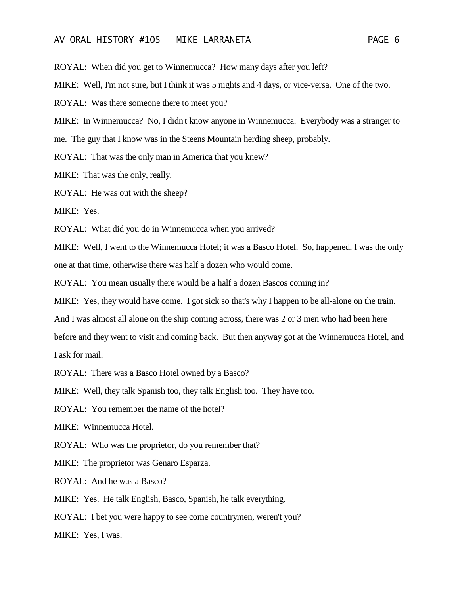#### AV-ORAL HISTORY #105 - MIKE LARRANETA PAGE 6

ROYAL: When did you get to Winnemucca? How many days after you left?

MIKE: Well, I'm not sure, but I think it was 5 nights and 4 days, or vice-versa. One of the two.

ROYAL: Was there someone there to meet you?

MIKE: In Winnemucca? No, I didn't know anyone in Winnemucca. Everybody was a stranger to me. The guy that I know was in the Steens Mountain herding sheep, probably.

ROYAL: That was the only man in America that you knew?

MIKE: That was the only, really.

ROYAL: He was out with the sheep?

MIKE: Yes.

ROYAL: What did you do in Winnemucca when you arrived?

MIKE: Well, I went to the Winnemucca Hotel; it was a Basco Hotel. So, happened, I was the only one at that time, otherwise there was half a dozen who would come.

ROYAL: You mean usually there would be a half a dozen Bascos coming in?

MIKE: Yes, they would have come. I got sick so that's why I happen to be all-alone on the train.

And I was almost all alone on the ship coming across, there was 2 or 3 men who had been here

before and they went to visit and coming back. But then anyway got at the Winnemucca Hotel, and I ask for mail.

ROYAL: There was a Basco Hotel owned by a Basco?

MIKE: Well, they talk Spanish too, they talk English too. They have too.

ROYAL: You remember the name of the hotel?

MIKE: Winnemucca Hotel.

ROYAL: Who was the proprietor, do you remember that?

MIKE: The proprietor was Genaro Esparza.

ROYAL: And he was a Basco?

MIKE: Yes. He talk English, Basco, Spanish, he talk everything.

ROYAL: I bet you were happy to see come countrymen, weren't you?

MIKE: Yes, I was.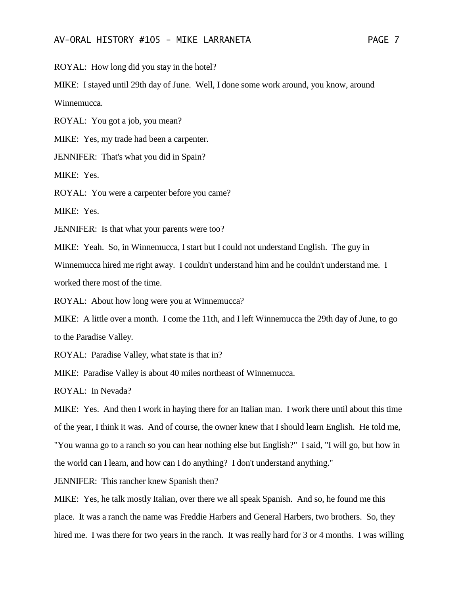ROYAL: How long did you stay in the hotel?

MIKE: I stayed until 29th day of June. Well, I done some work around, you know, around Winnemucca.

ROYAL: You got a job, you mean?

MIKE: Yes, my trade had been a carpenter.

JENNIFER: That's what you did in Spain?

MIKE: Yes.

ROYAL: You were a carpenter before you came?

MIKE: Yes.

JENNIFER: Is that what your parents were too?

MIKE: Yeah. So, in Winnemucca, I start but I could not understand English. The guy in Winnemucca hired me right away. I couldn't understand him and he couldn't understand me. I worked there most of the time.

ROYAL: About how long were you at Winnemucca?

MIKE: A little over a month. I come the 11th, and I left Winnemucca the 29th day of June, to go to the Paradise Valley.

ROYAL: Paradise Valley, what state is that in?

MIKE: Paradise Valley is about 40 miles northeast of Winnemucca.

ROYAL: In Nevada?

MIKE: Yes. And then I work in haying there for an Italian man. I work there until about this time of the year, I think it was. And of course, the owner knew that I should learn English. He told me, "You wanna go to a ranch so you can hear nothing else but English?" I said, "I will go, but how in the world can I learn, and how can I do anything? I don't understand anything."

JENNIFER: This rancher knew Spanish then?

MIKE: Yes, he talk mostly Italian, over there we all speak Spanish. And so, he found me this place. It was a ranch the name was Freddie Harbers and General Harbers, two brothers. So, they hired me. I was there for two years in the ranch. It was really hard for 3 or 4 months. I was willing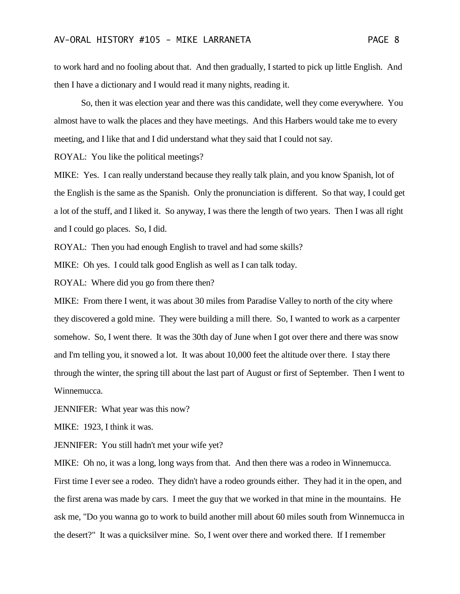to work hard and no fooling about that. And then gradually, I started to pick up little English. And then I have a dictionary and I would read it many nights, reading it.

So, then it was election year and there was this candidate, well they come everywhere. You almost have to walk the places and they have meetings. And this Harbers would take me to every meeting, and I like that and I did understand what they said that I could not say.

ROYAL: You like the political meetings?

MIKE: Yes. I can really understand because they really talk plain, and you know Spanish, lot of the English is the same as the Spanish. Only the pronunciation is different. So that way, I could get a lot of the stuff, and I liked it. So anyway, I was there the length of two years. Then I was all right and I could go places. So, I did.

ROYAL: Then you had enough English to travel and had some skills?

MIKE: Oh yes. I could talk good English as well as I can talk today.

ROYAL: Where did you go from there then?

MIKE: From there I went, it was about 30 miles from Paradise Valley to north of the city where they discovered a gold mine. They were building a mill there. So, I wanted to work as a carpenter somehow. So, I went there. It was the 30th day of June when I got over there and there was snow and I'm telling you, it snowed a lot. It was about 10,000 feet the altitude over there. I stay there through the winter, the spring till about the last part of August or first of September. Then I went to Winnemucca.

JENNIFER: What year was this now?

MIKE: 1923, I think it was.

JENNIFER: You still hadn't met your wife yet?

MIKE: Oh no, it was a long, long ways from that. And then there was a rodeo in Winnemucca. First time I ever see a rodeo. They didn't have a rodeo grounds either. They had it in the open, and the first arena was made by cars. I meet the guy that we worked in that mine in the mountains. He ask me, "Do you wanna go to work to build another mill about 60 miles south from Winnemucca in the desert?" It was a quicksilver mine. So, I went over there and worked there. If I remember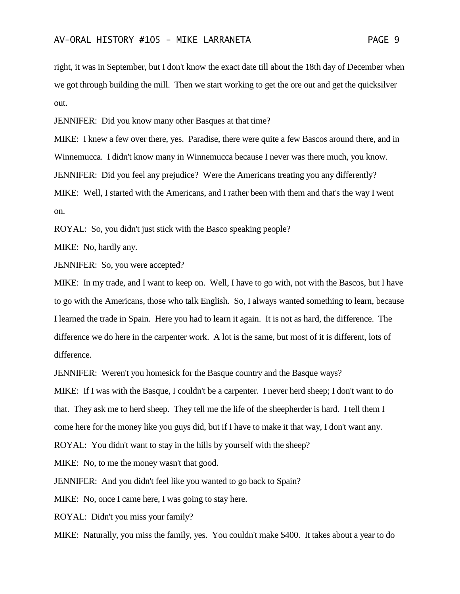right, it was in September, but I don't know the exact date till about the 18th day of December when we got through building the mill. Then we start working to get the ore out and get the quicksilver out.

JENNIFER: Did you know many other Basques at that time?

MIKE: I knew a few over there, yes. Paradise, there were quite a few Bascos around there, and in Winnemucca. I didn't know many in Winnemucca because I never was there much, you know. JENNIFER: Did you feel any prejudice? Were the Americans treating you any differently? MIKE: Well, I started with the Americans, and I rather been with them and that's the way I went on.

ROYAL: So, you didn't just stick with the Basco speaking people?

MIKE: No, hardly any.

JENNIFER: So, you were accepted?

MIKE: In my trade, and I want to keep on. Well, I have to go with, not with the Bascos, but I have to go with the Americans, those who talk English. So, I always wanted something to learn, because I learned the trade in Spain. Here you had to learn it again. It is not as hard, the difference. The difference we do here in the carpenter work. A lot is the same, but most of it is different, lots of difference.

JENNIFER: Weren't you homesick for the Basque country and the Basque ways?

MIKE: If I was with the Basque, I couldn't be a carpenter. I never herd sheep; I don't want to do that. They ask me to herd sheep. They tell me the life of the sheepherder is hard. I tell them I come here for the money like you guys did, but if I have to make it that way, I don't want any.

ROYAL: You didn't want to stay in the hills by yourself with the sheep?

MIKE: No, to me the money wasn't that good.

JENNIFER: And you didn't feel like you wanted to go back to Spain?

MIKE: No, once I came here, I was going to stay here.

ROYAL: Didn't you miss your family?

MIKE: Naturally, you miss the family, yes. You couldn't make \$400. It takes about a year to do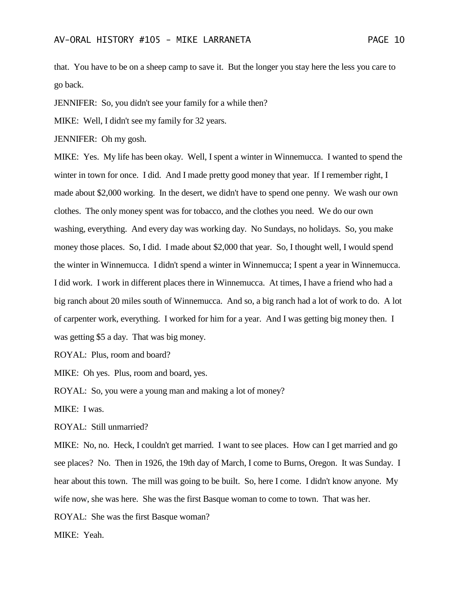that. You have to be on a sheep camp to save it. But the longer you stay here the less you care to go back.

JENNIFER: So, you didn't see your family for a while then?

MIKE: Well, I didn't see my family for 32 years.

JENNIFER: Oh my gosh.

MIKE: Yes. My life has been okay. Well, I spent a winter in Winnemucca. I wanted to spend the winter in town for once. I did. And I made pretty good money that year. If I remember right, I made about \$2,000 working. In the desert, we didn't have to spend one penny. We wash our own clothes. The only money spent was for tobacco, and the clothes you need. We do our own washing, everything. And every day was working day. No Sundays, no holidays. So, you make money those places. So, I did. I made about \$2,000 that year. So, I thought well, I would spend the winter in Winnemucca. I didn't spend a winter in Winnemucca; I spent a year in Winnemucca. I did work. I work in different places there in Winnemucca. At times, I have a friend who had a big ranch about 20 miles south of Winnemucca. And so, a big ranch had a lot of work to do. A lot of carpenter work, everything. I worked for him for a year. And I was getting big money then. I was getting \$5 a day. That was big money.

ROYAL: Plus, room and board?

MIKE: Oh yes. Plus, room and board, yes.

ROYAL: So, you were a young man and making a lot of money?

MIKE: I was.

ROYAL: Still unmarried?

MIKE: No, no. Heck, I couldn't get married. I want to see places. How can I get married and go see places? No. Then in 1926, the 19th day of March, I come to Burns, Oregon. It was Sunday. I hear about this town. The mill was going to be built. So, here I come. I didn't know anyone. My wife now, she was here. She was the first Basque woman to come to town. That was her.

ROYAL: She was the first Basque woman?

MIKE: Yeah.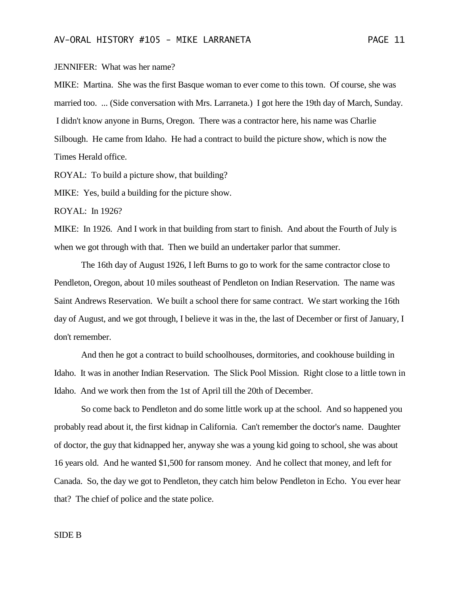JENNIFER: What was her name?

MIKE: Martina. She was the first Basque woman to ever come to this town. Of course, she was married too. ... (Side conversation with Mrs. Larraneta.) I got here the 19th day of March, Sunday. I didn't know anyone in Burns, Oregon. There was a contractor here, his name was Charlie Silbough. He came from Idaho. He had a contract to build the picture show, which is now the Times Herald office.

ROYAL: To build a picture show, that building?

MIKE: Yes, build a building for the picture show.

ROYAL: In 1926?

MIKE: In 1926. And I work in that building from start to finish. And about the Fourth of July is when we got through with that. Then we build an undertaker parlor that summer.

The 16th day of August 1926, I left Burns to go to work for the same contractor close to Pendleton, Oregon, about 10 miles southeast of Pendleton on Indian Reservation. The name was Saint Andrews Reservation. We built a school there for same contract. We start working the 16th day of August, and we got through, I believe it was in the, the last of December or first of January, I don't remember.

And then he got a contract to build schoolhouses, dormitories, and cookhouse building in Idaho. It was in another Indian Reservation. The Slick Pool Mission. Right close to a little town in Idaho. And we work then from the 1st of April till the 20th of December.

So come back to Pendleton and do some little work up at the school. And so happened you probably read about it, the first kidnap in California. Can't remember the doctor's name. Daughter of doctor, the guy that kidnapped her, anyway she was a young kid going to school, she was about 16 years old. And he wanted \$1,500 for ransom money. And he collect that money, and left for Canada. So, the day we got to Pendleton, they catch him below Pendleton in Echo. You ever hear that? The chief of police and the state police.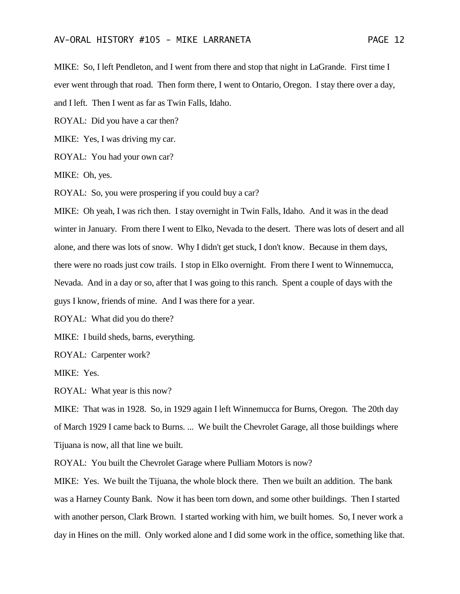MIKE: So, I left Pendleton, and I went from there and stop that night in LaGrande. First time I ever went through that road. Then form there, I went to Ontario, Oregon. I stay there over a day, and I left. Then I went as far as Twin Falls, Idaho.

ROYAL: Did you have a car then?

MIKE: Yes, I was driving my car.

ROYAL: You had your own car?

MIKE: Oh, yes.

ROYAL: So, you were prospering if you could buy a car?

MIKE: Oh yeah, I was rich then. I stay overnight in Twin Falls, Idaho. And it was in the dead winter in January. From there I went to Elko, Nevada to the desert. There was lots of desert and all alone, and there was lots of snow. Why I didn't get stuck, I don't know. Because in them days, there were no roads just cow trails. I stop in Elko overnight. From there I went to Winnemucca, Nevada. And in a day or so, after that I was going to this ranch. Spent a couple of days with the guys I know, friends of mine. And I was there for a year.

ROYAL: What did you do there?

MIKE: I build sheds, barns, everything.

ROYAL: Carpenter work?

MIKE: Yes.

ROYAL: What year is this now?

MIKE: That was in 1928. So, in 1929 again I left Winnemucca for Burns, Oregon. The 20th day of March 1929 I came back to Burns. ... We built the Chevrolet Garage, all those buildings where Tijuana is now, all that line we built.

ROYAL: You built the Chevrolet Garage where Pulliam Motors is now?

MIKE: Yes. We built the Tijuana, the whole block there. Then we built an addition. The bank was a Harney County Bank. Now it has been torn down, and some other buildings. Then I started with another person, Clark Brown. I started working with him, we built homes. So, I never work a day in Hines on the mill. Only worked alone and I did some work in the office, something like that.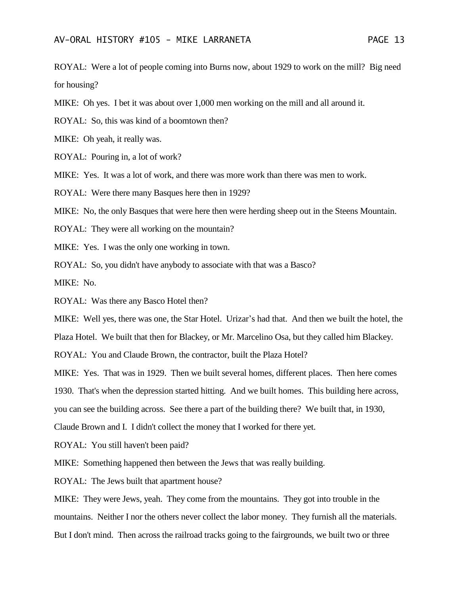ROYAL: Were a lot of people coming into Burns now, about 1929 to work on the mill? Big need for housing?

MIKE: Oh yes. I bet it was about over 1,000 men working on the mill and all around it.

ROYAL: So, this was kind of a boomtown then?

MIKE: Oh yeah, it really was.

ROYAL: Pouring in, a lot of work?

MIKE: Yes. It was a lot of work, and there was more work than there was men to work.

ROYAL: Were there many Basques here then in 1929?

MIKE: No, the only Basques that were here then were herding sheep out in the Steens Mountain.

ROYAL: They were all working on the mountain?

MIKE: Yes. I was the only one working in town.

ROYAL: So, you didn't have anybody to associate with that was a Basco?

MIKE: No.

ROYAL: Was there any Basco Hotel then?

MIKE: Well yes, there was one, the Star Hotel. Urizar's had that. And then we built the hotel, the

Plaza Hotel. We built that then for Blackey, or Mr. Marcelino Osa, but they called him Blackey.

ROYAL: You and Claude Brown, the contractor, built the Plaza Hotel?

MIKE: Yes. That was in 1929. Then we built several homes, different places. Then here comes

1930. That's when the depression started hitting. And we built homes. This building here across,

you can see the building across. See there a part of the building there? We built that, in 1930,

Claude Brown and I. I didn't collect the money that I worked for there yet.

ROYAL: You still haven't been paid?

MIKE: Something happened then between the Jews that was really building.

ROYAL: The Jews built that apartment house?

MIKE: They were Jews, yeah. They come from the mountains. They got into trouble in the mountains. Neither I nor the others never collect the labor money. They furnish all the materials. But I don't mind. Then across the railroad tracks going to the fairgrounds, we built two or three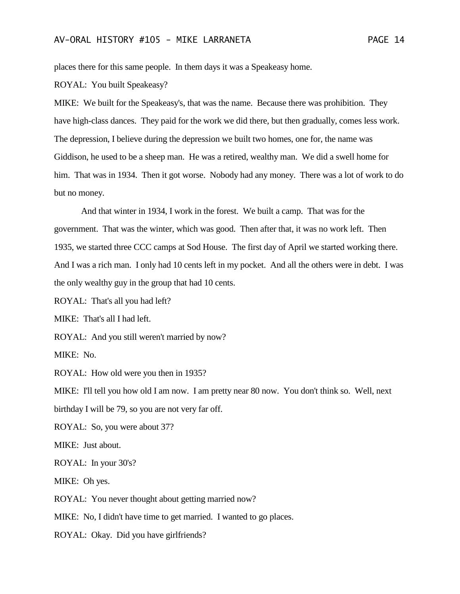places there for this same people. In them days it was a Speakeasy home.

ROYAL: You built Speakeasy?

MIKE: We built for the Speakeasy's, that was the name. Because there was prohibition. They have high-class dances. They paid for the work we did there, but then gradually, comes less work. The depression, I believe during the depression we built two homes, one for, the name was Giddison, he used to be a sheep man. He was a retired, wealthy man. We did a swell home for him. That was in 1934. Then it got worse. Nobody had any money. There was a lot of work to do but no money.

And that winter in 1934, I work in the forest. We built a camp. That was for the government. That was the winter, which was good. Then after that, it was no work left. Then 1935, we started three CCC camps at Sod House. The first day of April we started working there. And I was a rich man. I only had 10 cents left in my pocket. And all the others were in debt. I was the only wealthy guy in the group that had 10 cents.

ROYAL: That's all you had left?

MIKE: That's all I had left.

ROYAL: And you still weren't married by now?

MIKE: No.

ROYAL: How old were you then in 1935?

MIKE: I'll tell you how old I am now. I am pretty near 80 now. You don't think so. Well, next birthday I will be 79, so you are not very far off.

ROYAL: So, you were about 37?

MIKE: Just about.

ROYAL: In your 30's?

MIKE: Oh yes.

ROYAL: You never thought about getting married now?

MIKE: No, I didn't have time to get married. I wanted to go places.

ROYAL: Okay. Did you have girlfriends?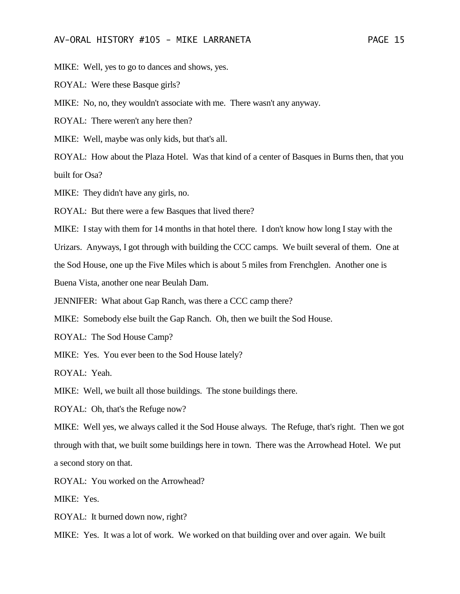MIKE: Well, yes to go to dances and shows, yes.

ROYAL: Were these Basque girls?

MIKE: No, no, they wouldn't associate with me. There wasn't any anyway.

ROYAL: There weren't any here then?

MIKE: Well, maybe was only kids, but that's all.

ROYAL: How about the Plaza Hotel. Was that kind of a center of Basques in Burns then, that you built for Osa?

MIKE: They didn't have any girls, no.

ROYAL: But there were a few Basques that lived there?

MIKE: I stay with them for 14 months in that hotel there. I don't know how long I stay with the

Urizars. Anyways, I got through with building the CCC camps. We built several of them. One at

the Sod House, one up the Five Miles which is about 5 miles from Frenchglen. Another one is

Buena Vista, another one near Beulah Dam.

JENNIFER: What about Gap Ranch, was there a CCC camp there?

MIKE: Somebody else built the Gap Ranch. Oh, then we built the Sod House.

ROYAL: The Sod House Camp?

MIKE: Yes. You ever been to the Sod House lately?

ROYAL: Yeah.

MIKE: Well, we built all those buildings. The stone buildings there.

ROYAL: Oh, that's the Refuge now?

MIKE: Well yes, we always called it the Sod House always. The Refuge, that's right. Then we got through with that, we built some buildings here in town. There was the Arrowhead Hotel. We put a second story on that.

ROYAL: You worked on the Arrowhead?

MIKE: Yes.

ROYAL: It burned down now, right?

MIKE: Yes. It was a lot of work. We worked on that building over and over again. We built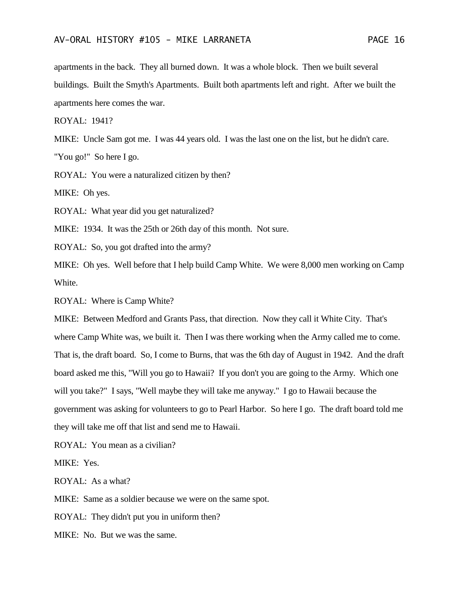apartments in the back. They all burned down. It was a whole block. Then we built several buildings. Built the Smyth's Apartments. Built both apartments left and right. After we built the apartments here comes the war.

ROYAL: 1941?

MIKE: Uncle Sam got me. I was 44 years old. I was the last one on the list, but he didn't care.

"You go!" So here I go.

ROYAL: You were a naturalized citizen by then?

MIKE: Oh yes.

ROYAL: What year did you get naturalized?

MIKE: 1934. It was the 25th or 26th day of this month. Not sure.

ROYAL: So, you got drafted into the army?

MIKE: Oh yes. Well before that I help build Camp White. We were 8,000 men working on Camp White.

ROYAL: Where is Camp White?

MIKE: Between Medford and Grants Pass, that direction. Now they call it White City. That's where Camp White was, we built it. Then I was there working when the Army called me to come. That is, the draft board. So, I come to Burns, that was the 6th day of August in 1942. And the draft board asked me this, "Will you go to Hawaii? If you don't you are going to the Army. Which one will you take?" I says, "Well maybe they will take me anyway." I go to Hawaii because the government was asking for volunteers to go to Pearl Harbor. So here I go. The draft board told me they will take me off that list and send me to Hawaii.

ROYAL: You mean as a civilian?

MIKE: Yes.

ROYAL: As a what?

MIKE: Same as a soldier because we were on the same spot.

ROYAL: They didn't put you in uniform then?

MIKE: No. But we was the same.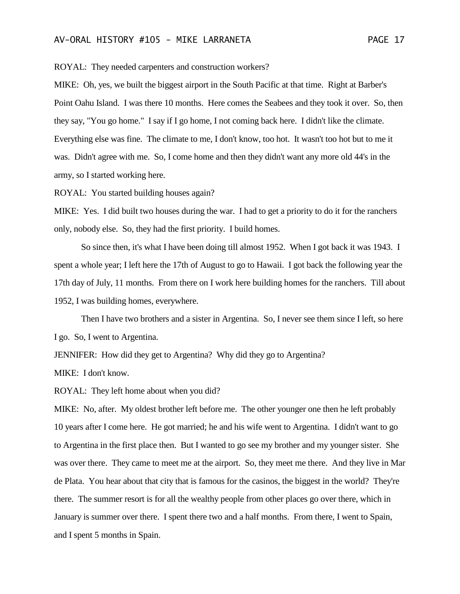ROYAL: They needed carpenters and construction workers?

MIKE: Oh, yes, we built the biggest airport in the South Pacific at that time. Right at Barber's Point Oahu Island. I was there 10 months. Here comes the Seabees and they took it over. So, then they say, "You go home." I say if I go home, I not coming back here. I didn't like the climate. Everything else was fine. The climate to me, I don't know, too hot. It wasn't too hot but to me it was. Didn't agree with me. So, I come home and then they didn't want any more old 44's in the army, so I started working here.

ROYAL: You started building houses again?

MIKE: Yes. I did built two houses during the war. I had to get a priority to do it for the ranchers only, nobody else. So, they had the first priority. I build homes.

So since then, it's what I have been doing till almost 1952. When I got back it was 1943. I spent a whole year; I left here the 17th of August to go to Hawaii. I got back the following year the 17th day of July, 11 months. From there on I work here building homes for the ranchers. Till about 1952, I was building homes, everywhere.

Then I have two brothers and a sister in Argentina. So, I never see them since I left, so here I go. So, I went to Argentina.

JENNIFER: How did they get to Argentina? Why did they go to Argentina?

MIKE: I don't know.

ROYAL: They left home about when you did?

MIKE: No, after. My oldest brother left before me. The other younger one then he left probably 10 years after I come here. He got married; he and his wife went to Argentina. I didn't want to go to Argentina in the first place then. But I wanted to go see my brother and my younger sister. She was over there. They came to meet me at the airport. So, they meet me there. And they live in Mar de Plata. You hear about that city that is famous for the casinos, the biggest in the world? They're there. The summer resort is for all the wealthy people from other places go over there, which in January is summer over there. I spent there two and a half months. From there, I went to Spain, and I spent 5 months in Spain.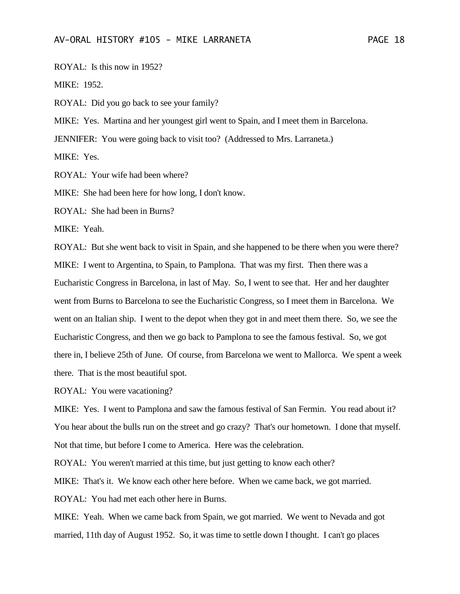ROYAL: Is this now in 1952?

MIKE: 1952.

ROYAL: Did you go back to see your family?

MIKE: Yes. Martina and her youngest girl went to Spain, and I meet them in Barcelona.

JENNIFER: You were going back to visit too? (Addressed to Mrs. Larraneta.)

MIKE: Yes.

ROYAL: Your wife had been where?

MIKE: She had been here for how long, I don't know.

ROYAL: She had been in Burns?

MIKE: Yeah.

ROYAL: But she went back to visit in Spain, and she happened to be there when you were there? MIKE: I went to Argentina, to Spain, to Pamplona. That was my first. Then there was a Eucharistic Congress in Barcelona, in last of May. So, I went to see that. Her and her daughter went from Burns to Barcelona to see the Eucharistic Congress, so I meet them in Barcelona. We went on an Italian ship. I went to the depot when they got in and meet them there. So, we see the Eucharistic Congress, and then we go back to Pamplona to see the famous festival. So, we got there in, I believe 25th of June. Of course, from Barcelona we went to Mallorca. We spent a week there. That is the most beautiful spot.

ROYAL: You were vacationing?

MIKE: Yes. I went to Pamplona and saw the famous festival of San Fermin. You read about it? You hear about the bulls run on the street and go crazy? That's our hometown. I done that myself. Not that time, but before I come to America. Here was the celebration.

ROYAL: You weren't married at this time, but just getting to know each other?

MIKE: That's it. We know each other here before. When we came back, we got married.

ROYAL: You had met each other here in Burns.

MIKE: Yeah. When we came back from Spain, we got married. We went to Nevada and got married, 11th day of August 1952. So, it was time to settle down I thought. I can't go places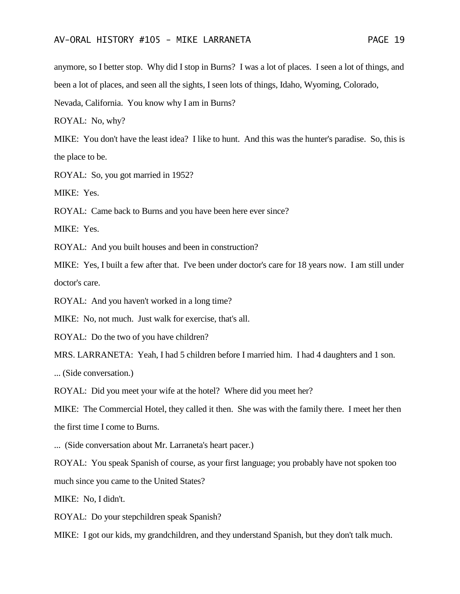anymore, so I better stop. Why did I stop in Burns? I was a lot of places. I seen a lot of things, and been a lot of places, and seen all the sights, I seen lots of things, Idaho, Wyoming, Colorado,

Nevada, California. You know why I am in Burns?

ROYAL: No, why?

MIKE: You don't have the least idea? I like to hunt. And this was the hunter's paradise. So, this is the place to be.

ROYAL: So, you got married in 1952?

MIKE: Yes.

ROYAL: Came back to Burns and you have been here ever since?

MIKE: Yes.

ROYAL: And you built houses and been in construction?

MIKE: Yes, I built a few after that. I've been under doctor's care for 18 years now. I am still under doctor's care.

ROYAL: And you haven't worked in a long time?

MIKE: No, not much. Just walk for exercise, that's all.

ROYAL: Do the two of you have children?

MRS. LARRANETA: Yeah, I had 5 children before I married him. I had 4 daughters and 1 son.

... (Side conversation.)

ROYAL: Did you meet your wife at the hotel? Where did you meet her?

MIKE: The Commercial Hotel, they called it then. She was with the family there. I meet her then the first time I come to Burns.

... (Side conversation about Mr. Larraneta's heart pacer.)

ROYAL: You speak Spanish of course, as your first language; you probably have not spoken too much since you came to the United States?

MIKE: No, I didn't.

ROYAL: Do your stepchildren speak Spanish?

MIKE: I got our kids, my grandchildren, and they understand Spanish, but they don't talk much.